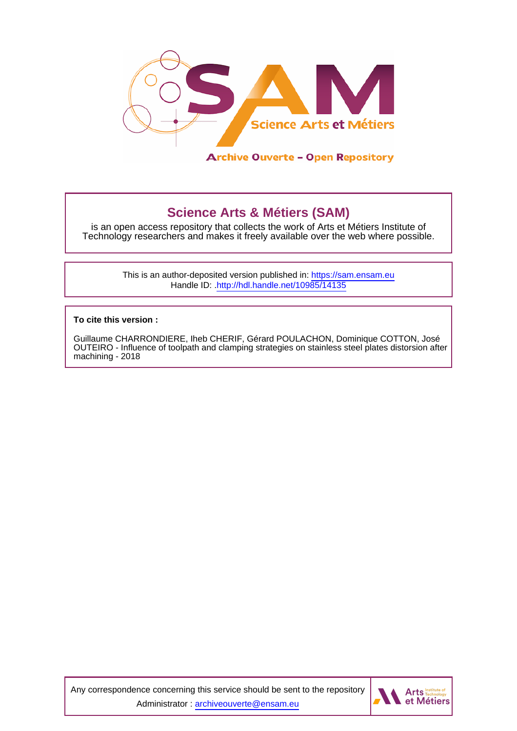

# **Science Arts & Métiers (SAM)**

is an open access repository that collects the work of Arts et Métiers Institute of Technology researchers and makes it freely available over the web where possible.

> This is an author-deposited version published in:<https://sam.ensam.eu> Handle ID: [.http://hdl.handle.net/10985/14135](http://hdl.handle.net/10985/14135)

**To cite this version :**

Guillaume CHARRONDIERE, Iheb CHERIF, Gérard POULACHON, Dominique COTTON, José OUTEIRO - Influence of toolpath and clamping strategies on stainless steel plates distorsion after machining - 2018

Any correspondence concerning this service should be sent to the repository Administrator : [archiveouverte@ensam.eu](mailto:archiveouverte@ensam.eu)

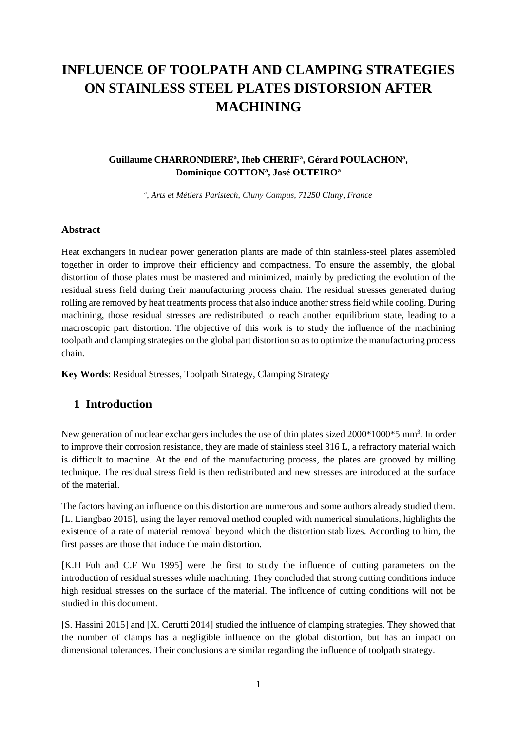# **INFLUENCE OF TOOLPATH AND CLAMPING STRATEGIES ON STAINLESS STEEL PLATES DISTORSION AFTER MACHINING**

#### Guillaume CHARRONDIERE<sup>a</sup>, Iheb CHERIF<sup>a</sup>, Gérard POULACHON<sup>a</sup>, **Dominique COTTON<sup>a</sup> , José OUTEIRO<sup>a</sup>**

a , *Arts et Métiers Paristech, Cluny Campus, 71250 Cluny, France*

#### **Abstract**

Heat exchangers in nuclear power generation plants are made of thin stainless-steel plates assembled together in order to improve their efficiency and compactness. To ensure the assembly, the global distortion of those plates must be mastered and minimized, mainly by predicting the evolution of the residual stress field during their manufacturing process chain. The residual stresses generated during rolling are removed by heat treatments process that also induce another stress field while cooling. During machining, those residual stresses are redistributed to reach another equilibrium state, leading to a macroscopic part distortion. The objective of this work is to study the influence of the machining toolpath and clamping strategies on the global part distortion so as to optimize the manufacturing process chain.

**Key Words**: Residual Stresses, Toolpath Strategy, Clamping Strategy

### **1 Introduction**

New generation of nuclear exchangers includes the use of thin plates sized 2000\*1000\*5 mm<sup>3</sup>. In order to improve their corrosion resistance, they are made of stainless steel 316 L, a refractory material which is difficult to machine. At the end of the manufacturing process, the plates are grooved by milling technique. The residual stress field is then redistributed and new stresses are introduced at the surface of the material.

The factors having an influence on this distortion are numerous and some authors already studied them. [L. Liangbao 2015], using the layer removal method coupled with numerical simulations, highlights the existence of a rate of material removal beyond which the distortion stabilizes. According to him, the first passes are those that induce the main distortion.

[K.H Fuh and C.F Wu 1995] were the first to study the influence of cutting parameters on the introduction of residual stresses while machining. They concluded that strong cutting conditions induce high residual stresses on the surface of the material. The influence of cutting conditions will not be studied in this document.

[S. Hassini 2015] and [X. Cerutti 2014] studied the influence of clamping strategies. They showed that the number of clamps has a negligible influence on the global distortion, but has an impact on dimensional tolerances. Their conclusions are similar regarding the influence of toolpath strategy.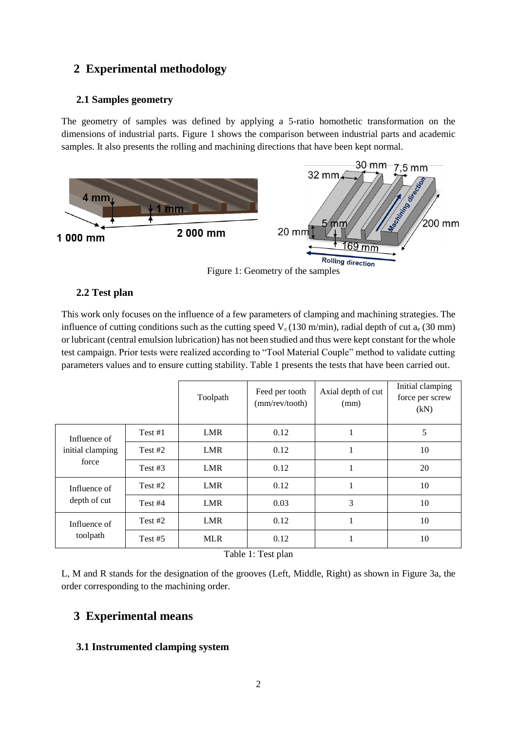## **2 Experimental methodology**

#### **2.1 Samples geometry**

The geometry of samples was defined by applying a 5-ratio homothetic transformation on the dimensions of industrial parts. Figure 1 shows the comparison between industrial parts and academic samples. It also presents the rolling and machining directions that have been kept normal.



#### **2.2 Test plan**

This work only focuses on the influence of a few parameters of clamping and machining strategies. The influence of cutting conditions such as the cutting speed  $V_c$  (130 m/min), radial depth of cut  $a_e$  (30 mm) or lubricant (central emulsion lubrication) has not been studied and thus were kept constant for the whole test campaign. Prior tests were realized according to "Tool Material Couple" method to validate cutting parameters values and to ensure cutting stability. Table 1 presents the tests that have been carried out.

|                                           |           | Toolpath   | Feed per tooth<br>(mm/rev/tooth) | Axial depth of cut<br>(mm) | Initial clamping<br>force per screw<br>(kN) |
|-------------------------------------------|-----------|------------|----------------------------------|----------------------------|---------------------------------------------|
| Influence of<br>initial clamping<br>force | Test #1   | <b>LMR</b> | 0.12                             | $\mathbf{1}$               | 5                                           |
|                                           | Test $#2$ | LMR        | 0.12                             | $\mathbf{1}$               | 10                                          |
|                                           | Test $#3$ | LMR        | 0.12                             | $\mathbf{1}$               | 20                                          |
| Influence of<br>depth of cut              | Test #2   | <b>LMR</b> | 0.12                             | 1<br>1                     | 10                                          |
|                                           | Test #4   | <b>LMR</b> | 0.03                             | 3                          | 10                                          |
| Influence of<br>toolpath                  | Test #2   | LMR        | 0.12                             | и<br>л                     | 10                                          |
|                                           | Test $#5$ | <b>MLR</b> | 0.12                             | 1<br>1                     | 10                                          |

Table 1: Test plan

L, M and R stands for the designation of the grooves (Left, Middle, Right) as shown in Figure 3a, the order corresponding to the machining order.

### **3 Experimental means**

#### **3.1 Instrumented clamping system**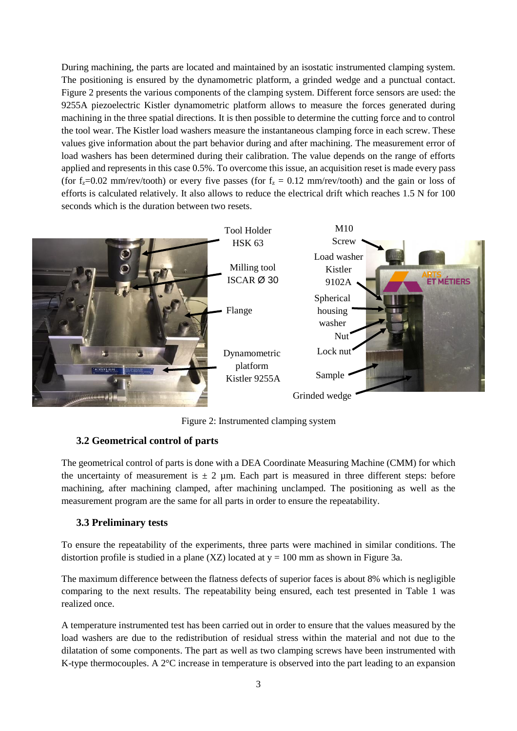During machining, the parts are located and maintained by an isostatic instrumented clamping system. The positioning is ensured by the dynamometric platform, a grinded wedge and a punctual contact. Figure 2 presents the various components of the clamping system. Different force sensors are used: the 9255A piezoelectric Kistler dynamometric platform allows to measure the forces generated during machining in the three spatial directions. It is then possible to determine the cutting force and to control the tool wear. The Kistler load washers measure the instantaneous clamping force in each screw. These values give information about the part behavior during and after machining. The measurement error of load washers has been determined during their calibration. The value depends on the range of efforts applied and represents in this case 0.5%. To overcome this issue, an acquisition reset is made every pass (for  $f_z=0.02$  mm/rev/tooth) or every five passes (for  $f_z = 0.12$  mm/rev/tooth) and the gain or loss of efforts is calculated relatively. It also allows to reduce the electrical drift which reaches 1.5 N for 100 seconds which is the duration between two resets.



Figure 2: Instrumented clamping system

#### **3.2 Geometrical control of parts**

The geometrical control of parts is done with a DEA Coordinate Measuring Machine (CMM) for which the uncertainty of measurement is  $\pm 2$  µm. Each part is measured in three different steps: before machining, after machining clamped, after machining unclamped. The positioning as well as the measurement program are the same for all parts in order to ensure the repeatability.

### **3.3 Preliminary tests**

To ensure the repeatability of the experiments, three parts were machined in similar conditions. The distortion profile is studied in a plane (XZ) located at  $y = 100$  mm as shown in Figure 3a.

The maximum difference between the flatness defects of superior faces is about 8% which is negligible comparing to the next results. The repeatability being ensured, each test presented in Table 1 was realized once.

A temperature instrumented test has been carried out in order to ensure that the values measured by the load washers are due to the redistribution of residual stress within the material and not due to the dilatation of some components. The part as well as two clamping screws have been instrumented with K-type thermocouples. A 2°C increase in temperature is observed into the part leading to an expansion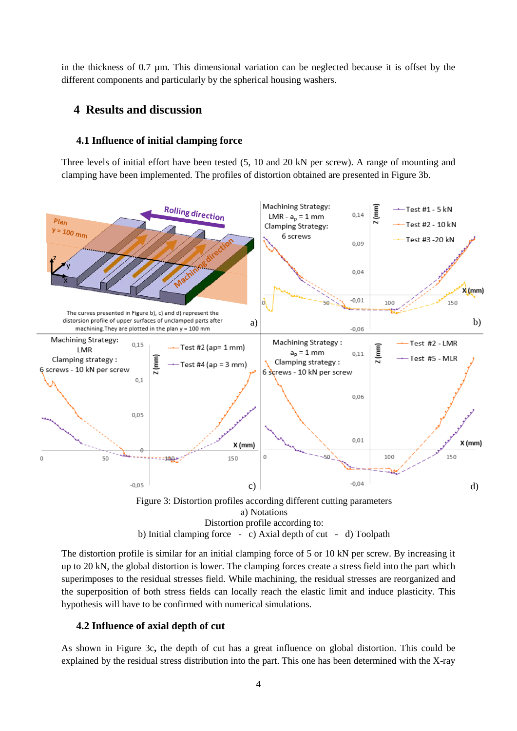in the thickness of 0.7 µm. This dimensional variation can be neglected because it is offset by the different components and particularly by the spherical housing washers.

### **4 Results and discussion**

#### **4.1 Influence of initial clamping force**

Three levels of initial effort have been tested (5, 10 and 20 kN per screw). A range of mounting and clamping have been implemented. The profiles of distortion obtained are presented in Figure 3b.



The distortion profile is similar for an initial clamping force of 5 or 10 kN per screw. By increasing it up to 20 kN, the global distortion is lower. The clamping forces create a stress field into the part which superimposes to the residual stresses field. While machining, the residual stresses are reorganized and the superposition of both stress fields can locally reach the elastic limit and induce plasticity. This hypothesis will have to be confirmed with numerical simulations.

#### **4.2 Influence of axial depth of cut**

As shown in Figure 3c**,** the depth of cut has a great influence on global distortion. This could be explained by the residual stress distribution into the part. This one has been determined with the X-ray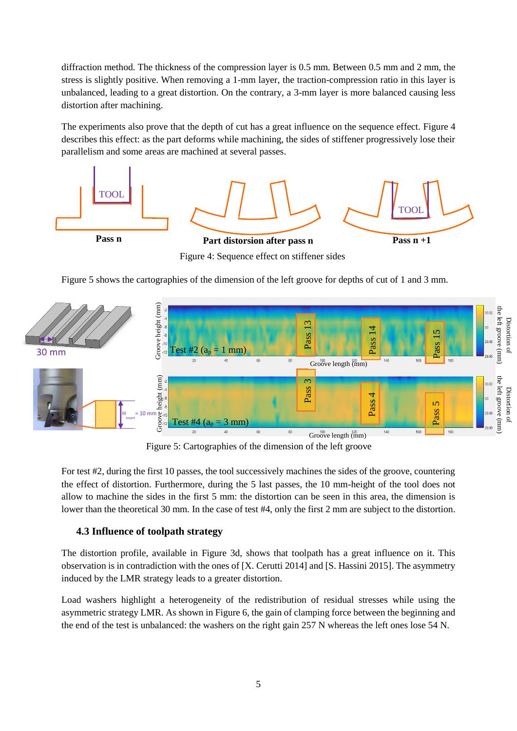diffraction method. The thickness of the compression layer is 0.5 mm. Between 0.5 mm and 2 mm, the stress is slightly positive. When removing a 1-mm layer, the traction-compression ratio in this layer is unbalanced, leading to a great distortion. On the contrary, a 3-mm layer is more balanced causing less distortion after machining.

The experiments also prove that the depth of cut has a great influence on the sequence effect. Figure 4 describes this effect: as the part deforms while machining, the sides of stiffener progressively lose their parallelism and some areas are machined at several passes.



Figure 4: Sequence effect on stiffener sides

Figure 5 shows the cartographies of the dimension of the left groove for depths of cut of 1 and 3 mm.



Figure 5: Cartographies of the dimension of the left groove

For test #2, during the first 10 passes, the tool successively machines the sides of the groove, countering the effect of distortion. Furthermore, during the 5 last passes, the 10 mm-height of the tool does not allow to machine the sides in the first 5 mm: the distortion can be seen in this area, the dimension is lower than the theoretical 30 mm. In the case of test #4, only the first 2 mm are subject to the distortion.

### **4.3 Influence of toolpath strategy**

The distortion profile, available in Figure 3d, shows that toolpath has a great influence on it. This observation is in contradiction with the ones of [X. Cerutti 2014] and [S. Hassini 2015]. The asymmetry induced by the LMR strategy leads to a greater distortion.

Load washers highlight a heterogeneity of the redistribution of residual stresses while using the asymmetric strategy LMR. As shown in Figure 6, the gain of clamping force between the beginning and the end of the test is unbalanced: the washers on the right gain 257 N whereas the left ones lose 54 N.